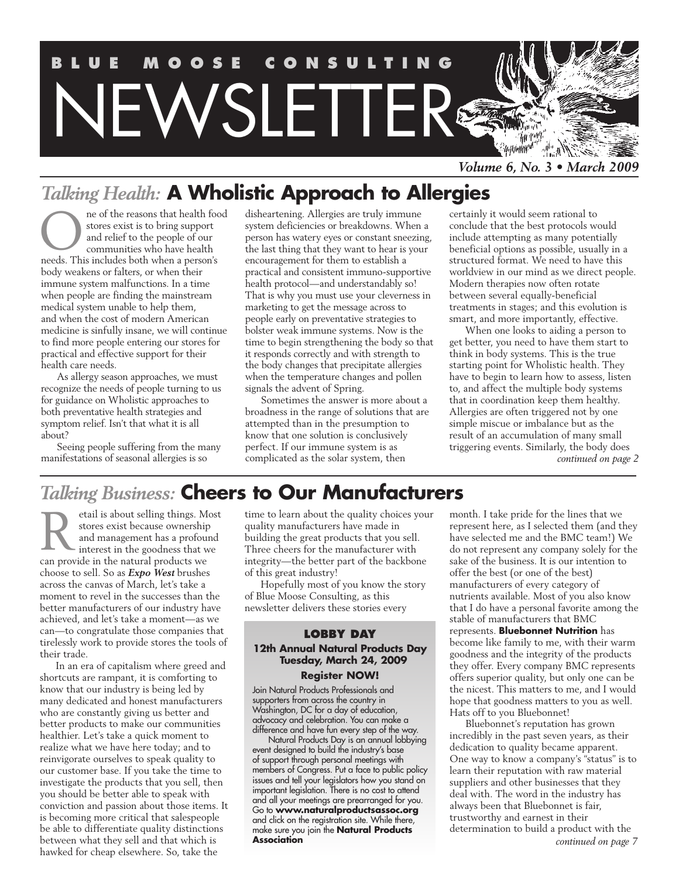

# *Talking Health:* **A Wholistic Approach to Allergies**

ne of the reasons that health food stores exist is to bring support and relief to the people of our communities who have health ne of the reasons that health focus stores exist is to bring support and relief to the people of our communities who have health needs. This includes both when a person's body weakens or falters, or when their immune system malfunctions. In a time when people are finding the mainstream medical system unable to help them, and when the cost of modern American medicine is sinfully insane, we will continue to find more people entering our stores for practical and effective support for their health care needs.

As allergy season approaches, we must recognize the needs of people turning to us for guidance on Wholistic approaches to both preventative health strategies and symptom relief. Isn't that what it is all about?

Seeing people suffering from the many manifestations of seasonal allergies is so

disheartening. Allergies are truly immune system deficiencies or breakdowns. When a person has watery eyes or constant sneezing, the last thing that they want to hear is your encouragement for them to establish a practical and consistent immuno-supportive health protocol—and understandably so! That is why you must use your cleverness in marketing to get the message across to people early on preventative strategies to bolster weak immune systems. Now is the time to begin strengthening the body so that it responds correctly and with strength to the body changes that precipitate allergies when the temperature changes and pollen signals the advent of Spring.

Sometimes the answer is more about a broadness in the range of solutions that are attempted than in the presumption to know that one solution is conclusively perfect. If our immune system is as complicated as the solar system, then

certainly it would seem rational to conclude that the best protocols would include attempting as many potentially beneficial options as possible, usually in a structured format. We need to have this worldview in our mind as we direct people. Modern therapies now often rotate between several equally-beneficial treatments in stages; and this evolution is smart, and more importantly, effective.

When one looks to aiding a person to get better, you need to have them start to think in body systems. This is the true starting point for Wholistic health. They have to begin to learn how to assess, listen to, and affect the multiple body systems that in coordination keep them healthy. Allergies are often triggered not by one simple miscue or imbalance but as the result of an accumulation of many small triggering events. Similarly, the body does *continued on page 2*

# *Talking Business:* **Cheers to Our Manufacturers**

etail is about selling things. Most stores exist because ownership and management has a profound interest in the goodness that we can provide in the natural products we choose to sell. So as *Expo West* brushes across the canvas of March, let's take a moment to revel in the successes than the better manufacturers of our industry have achieved, and let's take a moment—as we can—to congratulate those companies that tirelessly work to provide stores the tools of their trade. R

In an era of capitalism where greed and shortcuts are rampant, it is comforting to know that our industry is being led by many dedicated and honest manufacturers who are constantly giving us better and better products to make our communities healthier. Let's take a quick moment to realize what we have here today; and to reinvigorate ourselves to speak quality to our customer base. If you take the time to investigate the products that you sell, then you should be better able to speak with conviction and passion about those items. It is becoming more critical that salespeople be able to differentiate quality distinctions between what they sell and that which is hawked for cheap elsewhere. So, take the

time to learn about the quality choices your quality manufacturers have made in building the great products that you sell. Three cheers for the manufacturer with integrity—the better part of the backbone of this great industry!

Hopefully most of you know the story of Blue Moose Consulting, as this newsletter delivers these stories every

#### **LOBBY DAY 12th Annual Natural Products Day Tuesday, March 24, 2009 Register NOW!**

Join Natural Products Professionals and supporters from across the country in Washington, DC for a day of education, advocacy and celebration. You can make a difference and have fun every step of the way.

Natural Products Day is an annual lobbying event designed to build the industry's base of support through personal meetings with members of Congress. Put a face to public policy issues and tell your legislators how you stand on important legislation. There is no cost to attend and all your meetings are prearranged for you. Go to **www.naturalproductsassoc.org** and click on the registration site. While there, make sure you join the **Natural Products Association**

month. I take pride for the lines that we represent here, as I selected them (and they have selected me and the BMC team!) We do not represent any company solely for the sake of the business. It is our intention to offer the best (or one of the best) manufacturers of every category of nutrients available. Most of you also know that I do have a personal favorite among the stable of manufacturers that BMC represents. **Bluebonnet Nutrition** has become like family to me, with their warm goodness and the integrity of the products they offer. Every company BMC represents offers superior quality, but only one can be the nicest. This matters to me, and I would hope that goodness matters to you as well. Hats off to you Bluebonnet!

Bluebonnet's reputation has grown incredibly in the past seven years, as their dedication to quality became apparent. One way to know a company's "status" is to learn their reputation with raw material suppliers and other businesses that they deal with. The word in the industry has always been that Bluebonnet is fair, trustworthy and earnest in their determination to build a product with the *continued on page 7*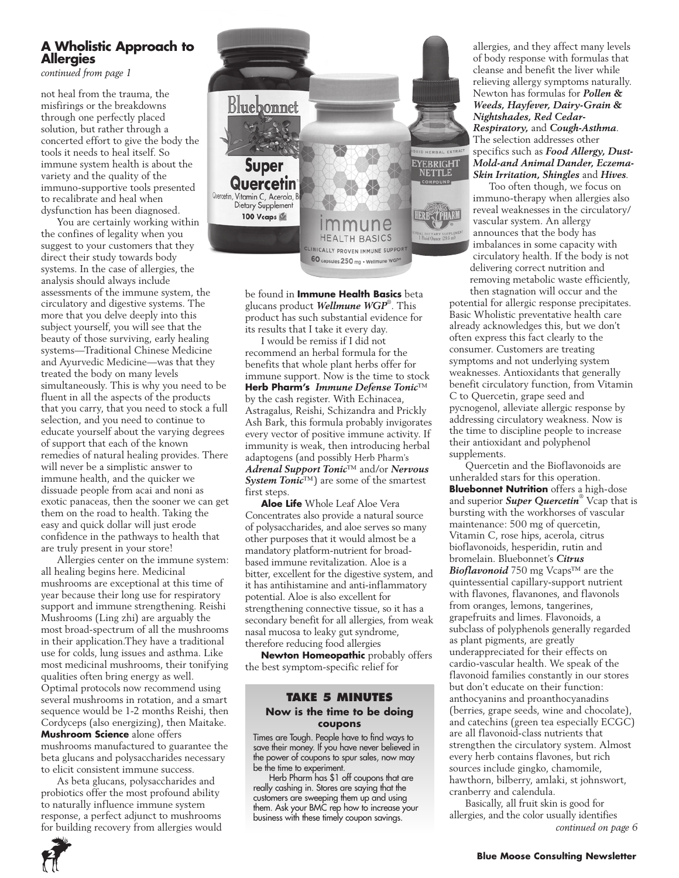# **A Wholistic Approach to Allergies**

*continued from page 1*

not heal from the trauma, the misfirings or the breakdowns through one perfectly placed solution, but rather through a concerted effort to give the body the tools it needs to heal itself. So immune system health is about the variety and the quality of the immuno-supportive tools presented to recalibrate and heal when dysfunction has been diagnosed.

You are certainly working within the confines of legality when you suggest to your customers that they direct their study towards body systems. In the case of allergies, the analysis should always include assessments of the immune system, the circulatory and digestive systems. The more that you delve deeply into this subject yourself, you will see that the beauty of those surviving, early healing systems—Traditional Chinese Medicine and Ayurvedic Medicine—was that they treated the body on many levels simultaneously. This is why you need to be fluent in all the aspects of the products that you carry, that you need to stock a full selection, and you need to continue to educate yourself about the varying degrees of support that each of the known remedies of natural healing provides. There will never be a simplistic answer to immune health, and the quicker we dissuade people from acai and noni as exotic panaceas, then the sooner we can get them on the road to health. Taking the easy and quick dollar will just erode confidence in the pathways to health that are truly present in your store!

Allergies center on the immune system: all healing begins here. Medicinal mushrooms are exceptional at this time of year because their long use for respiratory support and immune strengthening. Reishi Mushrooms (Ling zhi) are arguably the most broad-spectrum of all the mushrooms in their application.They have a traditional use for colds, lung issues and asthma. Like most medicinal mushrooms, their tonifying qualities often bring energy as well. Optimal protocols now recommend using several mushrooms in rotation, and a smart sequence would be 1-2 months Reishi, then Cordyceps (also energizing), then Maitake. **Mushroom Science** alone offers mushrooms manufactured to guarantee the beta glucans and polysaccharides necessary to elicit consistent immune success.

As beta glucans, polysaccharides and probiotics offer the most profound ability to naturally influence immune system response, a perfect adjunct to mushrooms for building recovery from allergies would



be found in **Immune Health Basics** beta glucans product *Wellmune WGP*® . This product has such substantial evidence for its results that I take it every day.

I would be remiss if I did not recommend an herbal formula for the benefits that whole plant herbs offer for immune support. Now is the time to stock **Herb Pharm's** *Immune Defense Tonic*™ by the cash register. With Echinacea, Astragalus, Reishi, Schizandra and Prickly Ash Bark, this formula probably invigorates every vector of positive immune activity. If immunity is weak, then introducing herbal adaptogens (and possibly Herb Pharm's *Adrenal Support Tonic*™ and/or *Nervous System Tonic*™) are some of the smartest first steps.

**Aloe Life** Whole Leaf Aloe Vera Concentrates also provide a natural source of polysaccharides, and aloe serves so many other purposes that it would almost be a mandatory platform-nutrient for broadbased immune revitalization. Aloe is a bitter, excellent for the digestive system, and it has antihistamine and anti-inflammatory potential. Aloe is also excellent for strengthening connective tissue, so it has a secondary benefit for all allergies, from weak nasal mucosa to leaky gut syndrome, therefore reducing food allergies

**Newton Homeopathic** probably offers the best symptom-specific relief for

#### **Take 5 Minutes Now is the time to be doing coupons**

Times are Tough. People have to find ways to save their money. If you have never believed in the power of coupons to spur sales, now may be the time to experiment.

Herb Pharm has \$1 off coupons that are really cashing in. Stores are saying that the customers are sweeping them up and using them. Ask your BMC rep how to increase your business with these timely coupon savings.

allergies, and they affect many levels of body response with formulas that cleanse and benefit the liver while relieving allergy symptoms naturally. Newton has formulas for *Pollen & Weeds, Hayfever, Dairy-Grain & Nightshades, Red Cedar-Respiratory,* and *Cough-Asthma*. The selection addresses other specifics such as *Food Allergy, Dust-Mold-and Animal Dander, Eczema-Skin Irritation, Shingles* and *Hives.*

Too often though, we focus on immuno-therapy when allergies also reveal weaknesses in the circulatory/ vascular system. An allergy announces that the body has imbalances in some capacity with circulatory health. If the body is not delivering correct nutrition and removing metabolic waste efficiently, then stagnation will occur and the

potential for allergic response precipitates. Basic Wholistic preventative health care already acknowledges this, but we don't often express this fact clearly to the consumer. Customers are treating symptoms and not underlying system weaknesses. Antioxidants that generally benefit circulatory function, from Vitamin C to Quercetin, grape seed and pycnogenol, alleviate allergic response by addressing circulatory weakness. Now is the time to discipline people to increase their antioxidant and polyphenol supplements.

Quercetin and the Bioflavonoids are unheralded stars for this operation. **Bluebonnet Nutrition** offers a high-dose and superior *Super Quercetin*® Vcap that is bursting with the workhorses of vascular maintenance: 500 mg of quercetin, Vitamin C, rose hips, acerola, citrus bioflavonoids, hesperidin, rutin and bromelain. Bluebonnet's *Citrus Bioflavonoid* 750 mg Vcaps™ are the quintessential capillary-support nutrient with flavones, flavanones, and flavonols from oranges, lemons, tangerines, grapefruits and limes. Flavonoids, a subclass of polyphenols generally regarded as plant pigments, are greatly underappreciated for their effects on cardio-vascular health. We speak of the flavonoid families constantly in our stores but don't educate on their function: anthocyanins and proanthocyanadins (berries, grape seeds, wine and chocolate), and catechins (green tea especially ECGC) are all flavonoid-class nutrients that strengthen the circulatory system. Almost every herb contains flavones, but rich sources include gingko, chamomile, hawthorn, bilberry, amlaki, st johnswort, cranberry and calendula.

Basically, all fruit skin is good for allergies, and the color usually identifies *continued on page 6*

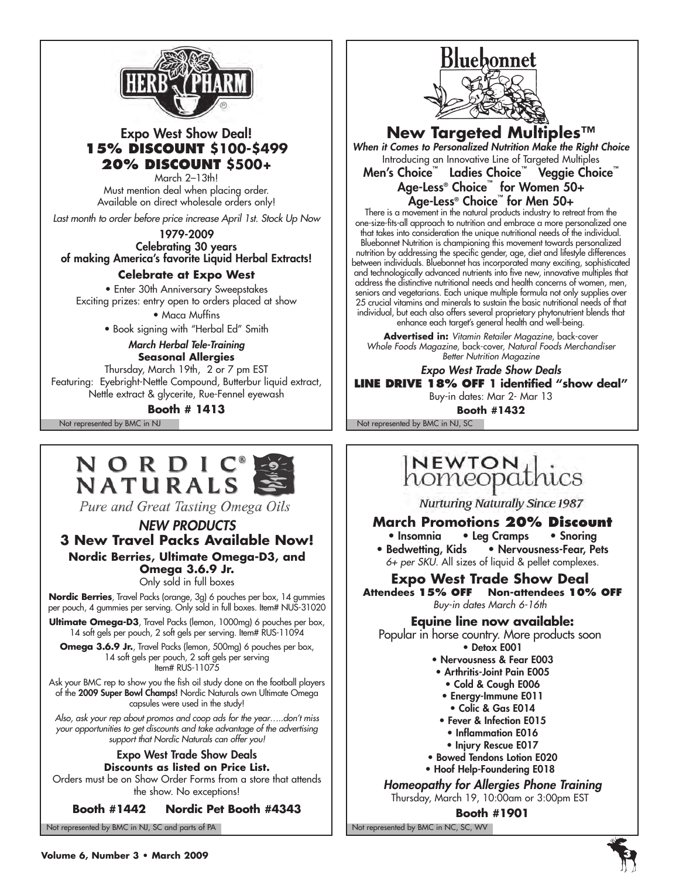

# Expo West Show Deal! **15% discount \$100-\$499 20% discount \$500+**

March 2–13th! Must mention deal when placing order. Available on direct wholesale orders only!

*Last month to order before price increase April 1st. Stock Up Now*

1979-2009 Celebrating 30 years of making America's favorite Liquid Herbal Extracts!

#### **Celebrate at Expo West**

• Enter 30th Anniversary Sweepstakes Exciting prizes: entry open to orders placed at show • Maca Muffins

• Book signing with "Herbal Ed" Smith

#### *March Herbal Tele-Training* **Seasonal Allergies**

Thursday, March 19th, 2 or 7 pm EST Featuring: Eyebright-Nettle Compound, Butterbur liquid extract, Nettle extract & glycerite, Rue-Fennel eyewash

**Booth # 1413**



Pure and Great Tasting Omega Oils

#### *NEW PRODUCTS* **3 New Travel Packs Available Now! Nordic Berries, Ultimate Omega-D3, and Omega 3.6.9 Jr.** Only sold in full boxes

**Nordic Berries**, Travel Packs (orange, 3g) 6 pouches per box, 14 gummies per pouch, 4 gummies per serving. Only sold in full boxes. Item# NUS-31020

**Ultimate Omega-D3**, Travel Packs (lemon, 1000mg) 6 pouches per box, 14 soft gels per pouch, 2 soft gels per serving. Item# RUS-11094

**Omega 3.6.9 Jr.**, Travel Packs (lemon, 500mg) 6 pouches per box, 14 soft gels per pouch, 2 soft gels per serving Item# RUS-11075

Ask your BMC rep to show you the fish oil study done on the football players of the 2009 Super Bowl Champs! Nordic Naturals own Ultimate Omega capsules were used in the study!

*Also, ask your rep about promos and coop ads for the year…..don't miss your opportunities to get discounts and take advantage of the advertising support that Nordic Naturals can offer you!*

#### Expo West Trade Show Deals **Discounts as listed on Price List.**

Orders must be on Show Order Forms from a store that attends the show. No exceptions!

#### **Booth #1442 Nordic Pet Booth #4343**

Not represented by BMC in NJ, SC and parts of PA Not represented by BMC in NC, SC, WV



**New Targeted Multiples™**

*When it Comes to Personalized Nutrition Make the Right Choice* Introducing an Innovative Line of Targeted Multiples

Men's Choice™ Ladies Choice™ Veggie Choice™ Age-Less® Choice™ for Women 50+ Age-Less® Choice™ for Men 50+

There is a movement in the natural products industry to retreat from the one-size-fits-all approach to nutrition and embrace a more personalized one that takes into consideration the unique nutritional needs of the individual. Bluebonnet Nutrition is championing this movement towards personalized nutrition by addressing the specific gender, age, diet and lifestyle differences between individuals. Bluebonnet has incorporated many exciting, sophisticated and technologically advanced nutrients into five new, innovative multiples that address the distinctive nutritional needs and health concerns of women, men, seniors and vegetarians. Each unique multiple formula not only supplies over 25 crucial vitamins and minerals to sustain the basic nutritional needs of that individual, but each also offers several proprietary phytonutrient blends that enhance each target's general health and well-being.

**Advertised in:** *Vitamin Retailer Magazine*, back-cover *Whole Foods Magazine*, back-cover, *Natural Foods Merchandiser Better Nutrition Magazine*

*Expo West Trade Show Deals* **Line Drive 18% off 1 identified "show deal"** Buy-in dates: Mar 2- Mar 13

Not represented by BMC in NJ Not represented by BMC in NJ, SC **Booth #1432**

# **NEWTON**<br>homeopathics

**Nurturing Naturally Since 1987** 

### **March Promotions 20% Discount**

• Insomnia • Leg Cramps • Snoring • Bedwetting, Kids • Nervousness-Fear, Pets *6+ per SKU.* All sizes of liquid & pellet complexes.

**Expo West Trade Show Deal Attendees 15% off Non-attendees 10% off**

*Buy-in dates March 6-16th*

**Equine line now available:** 

Popular in horse country. More products soon • Detox E001

- Nervousness & Fear E003
- Arthritis-Joint Pain E005
	- Cold & Cough E006
- Energy-Immune E011
- Colic & Gas E014
- Fever & Infection E015
- Inflammation E016
- Injury Rescue E017
- Bowed Tendons Lotion E020
- Hoof Help-Foundering E018

*Homeopathy for Allergies Phone Training*  Thursday, March 19, 10:00am or 3:00pm EST

**Booth #1901**

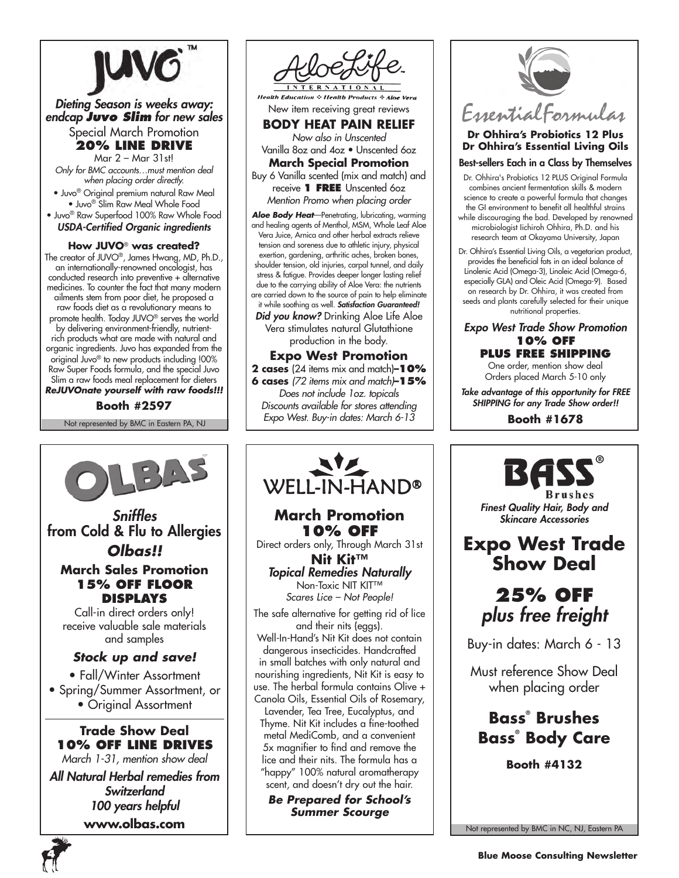

#### *Dieting Season is weeks away: endcap Juvo Slim for new sales* Special March Promotion

**20% Line Drive**

Mar 2 – Mar 31st! *Only for BMC accounts…must mention deal when placing order directly.*

• Juvo® Original premium natural Raw Meal • Juvo® Slim Raw Meal Whole Food • Juvo® Raw Superfood 100% Raw Whole Food

*USDA-Certified Organic ingredients*

#### **How JUVO**® **was created?**

The creator of JUVO®, James Hwang, MD, Ph.D., an internationally-renowned oncologist, has conducted research into preventive + alternative medicines. To counter the fact that many modern ailments stem from poor diet, he proposed a raw foods diet as a revolutionary means to promote health. Today JUVO® serves the world by delivering environment-friendly, nutrientrich products what are made with natural and organic ingredients. Juvo has expanded from the original Juvo® to new products including !00% Raw Super Foods formula, and the special Juvo Slim a raw foods meal replacement for dieters *ReJUVOnate yourself with raw foods!!!*

**Booth #2597**

Not represented by BMC in Eastern PA, NJ



**Health Education & Health Products & Aloe Vera** New item receiving great reviews

**BODY HEAT PAIN RELIEF**

*Now also in Unscented* Vanilla 8oz and 4oz • Unscented 6oz

**March Special Promotion** Buy 6 Vanilla scented (mix and match) and receive **1 FREE** Unscented 6oz *Mention Promo when placing order*

*Aloe Body Heat*—Penetrating, lubricating, warming and healing agents of Menthol, MSM, Whole Leaf Aloe Vera Juice, Arnica and other herbal extracts relieve tension and soreness due to athletic injury, physical exertion, gardening, arthritic aches, broken bones, shoulder tension, old injuries, carpal tunnel, and daily stress & fatigue. Provides deeper longer lasting relief due to the carrying ability of Aloe Vera: the nutrients are carried down to the source of pain to help eliminate it while soothing as well. *Satisfaction Guaranteed!*

*Did you know?* Drinking Aloe Life Aloe Vera stimulates natural Glutathione production in the body.

#### **Expo West Promotion**

**2 cases** (24 items mix and match)**–10% 6 cases** *(72 items mix and match)***–15%**

*Does not include 1oz. topicals Discounts available for stores attending Expo West. Buy-in dates: March 6-13*



# **March Promotion 10% off**

Direct orders only, Through March 31st **Nit Kit™** *Topical Remedies Naturally*

Non-Toxic NIT KIT<sup>™</sup> *Scares Lice – Not People!*

The safe alternative for getting rid of lice and their nits (eggs).

Well-In-Hand's Nit Kit does not contain dangerous insecticides. Handcrafted in small batches with only natural and nourishing ingredients, Nit Kit is easy to use. The herbal formula contains Olive + Canola Oils, Essential Oils of Rosemary,

Lavender, Tea Tree, Eucalyptus, and Thyme. Nit Kit includes a fine-toothed metal MediComb, and a convenient 5x magnifier to find and remove the lice and their nits. The formula has a "happy" 100% natural aromatherapy scent, and doesn't dry out the hair.

*Be Prepared for School's Summer Scourge*



# **Dr Ohhira's Probiotics 12 Plus Dr Ohhira's Essential Living Oils**

Best-sellers Each in a Class by Themselves

- Dr. Ohhira's Probiotics 12 PLUS Original Formula combines ancient fermentation skills & modern science to create a powerful formula that changes the GI environment to benefit all healthful strains
- while discouraging the bad. Developed by renowned microbiologist Iichiroh Ohhira, Ph.D. and his research team at Okayama University, Japan
- Dr. Ohhira's Essential Living Oils, a vegetarian product, provides the beneficial fats in an ideal balance of Linolenic Acid (Omega-3), Linoleic Acid (Omega-6, especially GLA) and Oleic Acid (Omega-9). Based on research by Dr. Ohhira, it was created from seeds and plants carefully selected for their unique nutritional properties.

*Expo West Trade Show Promotion* **10% off Plus free shipping**

One order, mention show deal Orders placed March 5-10 only

*Take advantage of this opportunity for FREE SHIPPING for any Trade Show order!!*

**Booth #1678**

*Finest Quality Hair, Body and Skincare Accessories*

**Brushes** 

**Expo West Trade Show Deal**

> **25% off** *plus free freight*

Buy-in dates: March 6 - 13

Must reference Show Deal when placing order

**Bass® Brushes Bass® Body Care**

**Booth #4132**



**www.olbas.com**



Not represented by BMC in NC, NJ, Eastern PA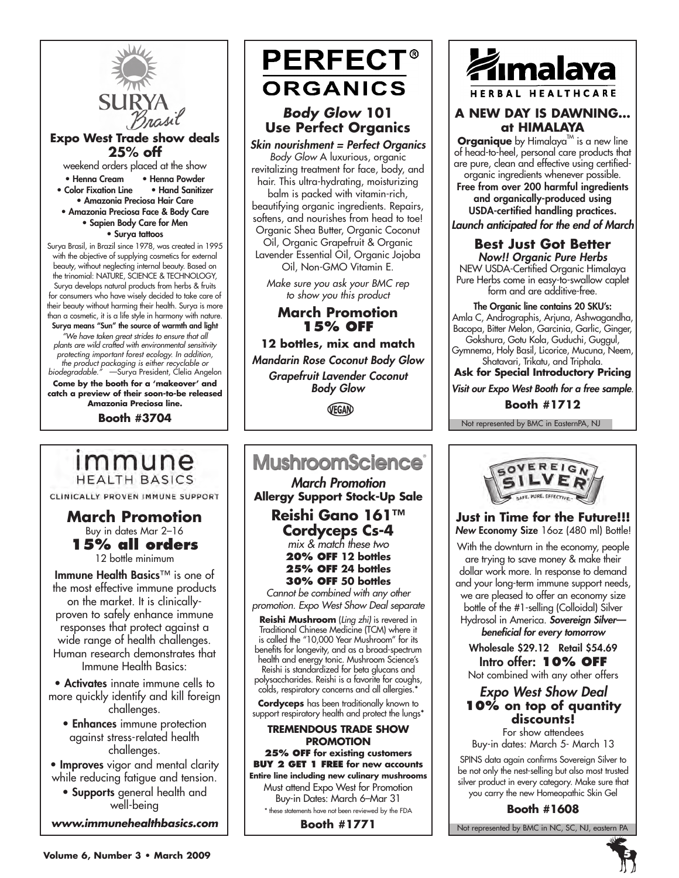

#### **Expo West Trade show deals 25% off**

weekend orders placed at the show • Henna Cream • Henna Powder • Color Fixation Line

- Amazonia Preciosa Hair Care • Amazonia Preciosa Face & Body Care
	- Sapien Body Care for Men

• Surya tattoos

Surya Brasil, in Brazil since 1978, was created in 1995 with the objective of supplying cosmetics for external beauty, without neglecting internal beauty. Based on the trinomial: NATURE, SCIENCE & TECHNOLOGY, Surya develops natural products from herbs & fruits for consumers who have wisely decided to take care of their beauty without harming their health. Surya is more than a cosmetic, it is a life style in harmony with nature. Surya means "Sun" the source of warmth and light *"We have taken great strides to ensure that all plants are wild crafted with environmental sensitivity protecting important forest ecology. In addition, the product packaging is either recyclable or biodegradable."* —Surya President, Clelia Angelon

**Come by the booth for a 'makeover' and catch a preview of their soon-to-be released Amazonia Preciosa line.**

**Booth #3704**

immune

**HEALTH BASICS** CLINICALLY PROVEN IMMUNE SUPPORT

**March Promotion** Buy in dates Mar 2–16 **15% all orders** 12 bottle minimum Immune Health Basics™ is one of the most effective immune products on the market. It is clinicallyproven to safely enhance immune responses that protect against a wide range of health challenges. Human research demonstrates that Immune Health Basics: • Activates innate immune cells to more quickly identify and kill foreign challenges. • Enhances immune protection against stress-related health challenges. • Improves vigor and mental clarity while reducing fatigue and tension. • Supports general health and well-being *www.immunehealthbasics.com*

# **PERFECT® ORGANICS**

# *Body Glow* **101 Use Perfect Organics**

*Skin nourishment = Perfect Organics* 

*Body Glow* A luxurious, organic revitalizing treatment for face, body, and hair. This ultra-hydrating, moisturizing balm is packed with vitamin-rich, beautifying organic ingredients. Repairs, softens, and nourishes from head to toe! Organic Shea Butter, Organic Coconut Oil, Organic Grapefruit & Organic Lavender Essential Oil, Organic Jojoba Oil, Non-GMO Vitamin E.

*Make sure you ask your BMC rep to show you this product*

### **March Promotion 15% off**

**12 bottles, mix and match**  *Mandarin Rose Coconut Body Glow* 

*Grapefruit Lavender Coconut Body Glow*

VEGAN

# **MushroomScience**®

*March Promotion* **Allergy Support Stock-Up Sale Reishi Gano 161™**

**Cordyceps Cs-4** *mix & match these two* **20% off 12 bottles 25% off 24 bottles 30% off 50 bottles**

*Cannot be combined with any other promotion. Expo West Show Deal separate*

**Reishi Mushroom** (*Ling zhi)* is revered in Traditional Chinese Medicine (TCM) where it is called the "10,000 Year Mushroom" for its benefits for longevity, and as a broad-spectrum health and energy tonic. Mushroom Science's Reishi is standardized for beta glucans and polysaccharides. Reishi is a favorite for coughs, colds, respiratory concerns and all allergies.\*

**Cordyceps** has been traditionally known to support respiratory health and protect the lungs<sup>\*</sup>

#### **Tremendous Trade Show Promotion**

**25% off for existing customers Buy 2 get 1 FREE for new accounts Entire line including new culinary mushrooms**

Must attend Expo West for Promotion Buy-in Dates: March 6–Mar 31 \* these statements have not been reviewed by the FDA

**Booth #1771**



#### **A NEW DAY IS DAWNING… at HIMALAYA**

**Organique** by Himalaya<sup>TM</sup> is a new line of head-to-heel, personal care products that are pure, clean and effective using certifiedorganic ingredients whenever possible.

Free from over 200 harmful ingredients and organically-produced using USDA-certified handling practices.

*Launch anticipated for the end of March*

#### **Best Just Got Better** *Now!! Organic Pure Herbs*

NEW USDA-Certified Organic Himalaya Pure Herbs come in easy-to-swallow caplet form and are additive-free.

The Organic line contains 20 SKU's: Amla C, Andrographis, Arjuna, Ashwagandha, Bacopa, Bitter Melon, Garcinia, Garlic, Ginger, Gokshura, Gotu Kola, Guduchi, Guggul, Gymnema, Holy Basil, Licorice, Mucuna, Neem,

Shatavari, Trikatu, and Triphala.

**Ask for Special Introductory Pricing** *Visit our Expo West Booth for a free sample*.

**Booth #1712**

Not represented by BMC in EasternPA, NJ



**Just in Time for the Future!!!** *New Economy Size 16oz (480 ml) Bottle!* 

With the downturn in the economy, people are trying to save money & make their dollar work more. In response to demand and your long-term immune support needs, we are pleased to offer an economy size bottle of the #1-selling (Colloidal) Silver Hydrosol in America. *Sovereign Silver beneficial for every tomorrow* 

Wholesale \$29.12 Retail \$54.69 Intro offer: **10% off**

Not combined with any other offers

#### *Expo West Show Deal* **10% on top of quantity discounts!**

For show attendees Buy-in dates: March 5- March 13

SPINS data again confirms Sovereign Silver to be not only the nest-selling but also most trusted silver product in every category. Make sure that you carry the new Homeopathic Skin Gel

**Booth #1608**

Not represented by BMC in NC, SC, NJ, eastern PA



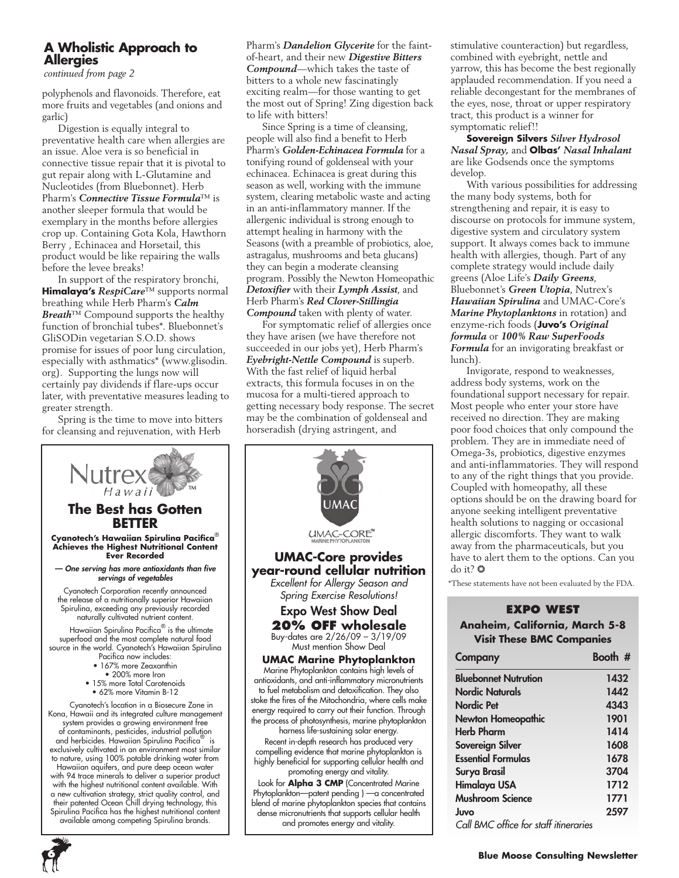### **A Wholistic Approach to Allergies**

*continued from page 2*

polyphenols and flavonoids. Therefore, eat more fruits and vegetables (and onions and garlic)

Digestion is equally integral to preventative health care when allergies are an issue. Aloe vera is so beneficial in connective tissue repair that it is pivotal to gut repair along with L-Glutamine and Nucleotides (from Bluebonnet). Herb Pharm's *Connective Tissue Formula*™ is another sleeper formula that would be exemplary in the months before allergies crop up. Containing Gota Kola, Hawthorn Berry , Echinacea and Horsetail, this product would be like repairing the walls before the levee breaks!

In support of the respiratory bronchi, **Himalaya's** *RespiCare*™ supports normal breathing while Herb Pharm's *Calm Breath*™ Compound supports the healthy function of bronchial tubes\*. Bluebonnet's GliSODin vegetarian S.O.D. shows promise for issues of poor lung circulation, especially with asthmatics\* (www.glisodin. org). Supporting the lungs now will certainly pay dividends if flare-ups occur later, with preventative measures leading to greater strength.

Spring is the time to move into bitters for cleansing and rejuvenation, with Herb

Pharm's *Dandelion Glycerite* for the faintof-heart, and their new *Digestive Bitters Compound*—which takes the taste of bitters to a whole new fascinatingly exciting realm—for those wanting to get the most out of Spring! Zing digestion back to life with bitters!

Since Spring is a time of cleansing, people will also find a benefit to Herb Pharm's *Golden-Echinacea Formula* for a tonifying round of goldenseal with your echinacea. Echinacea is great during this season as well, working with the immune system, clearing metabolic waste and acting in an anti-inflammatory manner. If the allergenic individual is strong enough to attempt healing in harmony with the Seasons (with a preamble of probiotics, aloe, astragalus, mushrooms and beta glucans) they can begin a moderate cleansing program. Possibly the Newton Homeopathic *Detoxifier* with their *Lymph Assist*, and Herb Pharm's *Red Clover-Stillingia Compound* taken with plenty of water.

For symptomatic relief of allergies once they have arisen (we have therefore not succeeded in our jobs yet), Herb Pharm's *Eyebright-Nettle Compound* is superb. With the fast relief of liquid herbal extracts, this formula focuses in on the mucosa for a multi-tiered approach to getting necessary body response. The secret may be the combination of goldenseal and horseradish (drying astringent, and



stimulative counteraction) but regardless, combined with eyebright, nettle and yarrow, this has become the best regionally applauded recommendation. If you need a reliable decongestant for the membranes of the eyes, nose, throat or upper respiratory tract, this product is a winner for symptomatic relief!!

**Sovereign Silvers** *Silver Hydrosol Nasal Spray,* and **Olbas'** *Nasal Inhalant*  are like Godsends once the symptoms develop.

With various possibilities for addressing the many body systems, both for strengthening and repair, it is easy to discourse on protocols for immune system, digestive system and circulatory system support. It always comes back to immune health with allergies, though. Part of any complete strategy would include daily greens (Aloe Life's *Daily Greens*, Bluebonnet's *Green Utopia*, Nutrex's *Hawaiian Spirulina* and UMAC-Core's *Marine Phytoplanktons* in rotation) and enzyme-rich foods (**Juvo's** *Original formula* or *100% Raw SuperFoods Formula* for an invigorating breakfast or lunch).

Invigorate, respond to weaknesses, address body systems, work on the foundational support necessary for repair. Most people who enter your store have received no direction. They are making poor food choices that only compound the problem. They are in immediate need of Omega-3s, probiotics, digestive enzymes and anti-inflammatories. They will respond to any of the right things that you provide. Coupled with homeopathy, all these options should be on the drawing board for anyone seeking intelligent preventative health solutions to nagging or occasional allergic discomforts. They want to walk away from the pharmaceuticals, but you have to alert them to the options. Can you do it? ❂

\*These statements have not been evaluated by the FDA.

#### **EXPO WEST Anaheim, California, March 5-8 Visit These BMC Companies**

| Company                               | Booth # |
|---------------------------------------|---------|
| <b>Bluebonnet Nutrution</b>           | 1432    |
| <b>Nordic Naturals</b>                | 1442    |
| <b>Nordic Pet</b>                     | 4343    |
| <b>Newton Homeopathic</b>             | 1901    |
| <b>Herb Pharm</b>                     | 1414    |
| Sovereign Silver                      | 1608    |
| <b>Essential Formulas</b>             | 1678    |
| Surya Brasil                          | 3704    |
| Himalaya USA                          | 1712    |
| <b>Mushroom Science</b>               | 1771    |
| Juvo                                  | 2597    |
| Call BMC office for staff itineraries |         |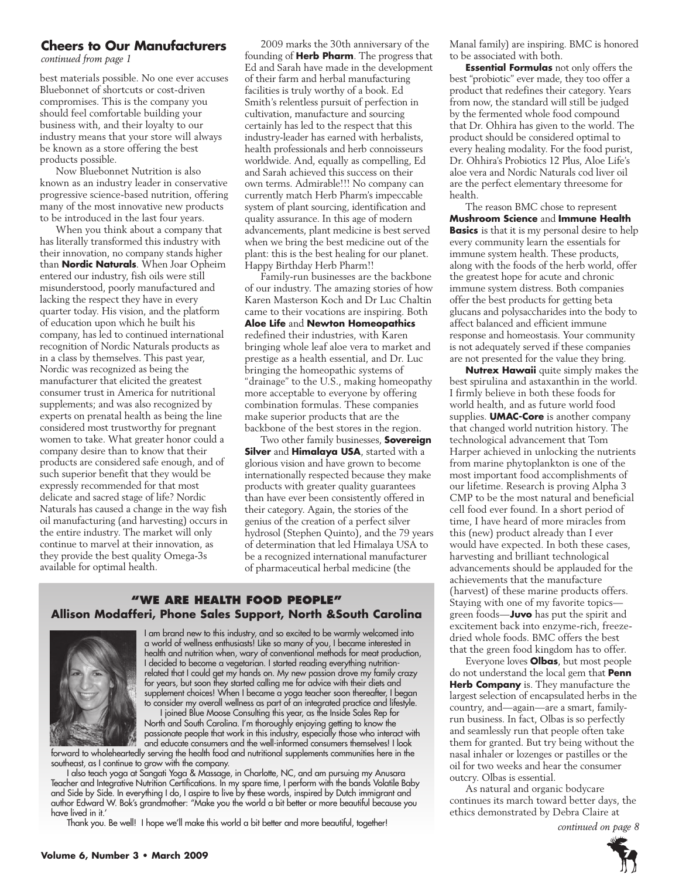#### **Cheers to Our Manufacturers**

*continued from page 1*

best materials possible. No one ever accuses Bluebonnet of shortcuts or cost-driven compromises. This is the company you should feel comfortable building your business with, and their loyalty to our industry means that your store will always be known as a store offering the best products possible.

Now Bluebonnet Nutrition is also known as an industry leader in conservative progressive science-based nutrition, offering many of the most innovative new products to be introduced in the last four years.

When you think about a company that has literally transformed this industry with their innovation, no company stands higher than **Nordic Naturals**. When Joar Opheim entered our industry, fish oils were still misunderstood, poorly manufactured and lacking the respect they have in every quarter today. His vision, and the platform of education upon which he built his company, has led to continued international recognition of Nordic Naturals products as in a class by themselves. This past year, Nordic was recognized as being the manufacturer that elicited the greatest consumer trust in America for nutritional supplements; and was also recognized by experts on prenatal health as being the line considered most trustworthy for pregnant women to take. What greater honor could a company desire than to know that their products are considered safe enough, and of such superior benefit that they would be expressly recommended for that most delicate and sacred stage of life? Nordic Naturals has caused a change in the way fish oil manufacturing (and harvesting) occurs in the entire industry. The market will only continue to marvel at their innovation, as they provide the best quality Omega-3s available for optimal health.

2009 marks the 30th anniversary of the founding of **Herb Pharm**. The progress that Ed and Sarah have made in the development of their farm and herbal manufacturing facilities is truly worthy of a book. Ed Smith's relentless pursuit of perfection in cultivation, manufacture and sourcing certainly has led to the respect that this industry-leader has earned with herbalists, health professionals and herb connoisseurs worldwide. And, equally as compelling, Ed and Sarah achieved this success on their own terms. Admirable!!! No company can currently match Herb Pharm's impeccable system of plant sourcing, identification and quality assurance. In this age of modern advancements, plant medicine is best served when we bring the best medicine out of the plant: this is the best healing for our planet. Happy Birthday Herb Pharm!!

Family-run businesses are the backbone of our industry. The amazing stories of how Karen Masterson Koch and Dr Luc Chaltin came to their vocations are inspiring. Both **Aloe Life** and **Newton Homeopathics** redefined their industries, with Karen bringing whole leaf aloe vera to market and prestige as a health essential, and Dr. Luc bringing the homeopathic systems of "drainage" to the U.S., making homeopathy more acceptable to everyone by offering combination formulas. These companies make superior products that are the backbone of the best stores in the region.

Two other family businesses, **Sovereign Silver** and **Himalaya USA**, started with a glorious vision and have grown to become internationally respected because they make products with greater quality guarantees than have ever been consistently offered in their category. Again, the stories of the genius of the creation of a perfect silver hydrosol (Stephen Quinto), and the 79 years of determination that led Himalaya USA to be a recognized international manufacturer of pharmaceutical herbal medicine (the

#### **"We Are health food people" Allison Modafferi, Phone Sales Support, North &South Carolina**



I am brand new to this industry, and so excited to be warmly welcomed into a world of wellness enthusiasts! Like so many of you, I became interested in health and nutrition when, wary of conventional methods for meat production, I decided to become a vegetarian. I started reading everything nutritionrelated that I could get my hands on. My new passion drove my family crazy for years, but soon they started calling me for advice with their diets and supplement choices! When I became a yoga teacher soon thereafter, I began to consider my overall wellness as part of an integrated practice and lifestyle.

I joined Blue Moose Consulting this year, as the Inside Sales Rep for North and South Carolina. I'm thoroughly enjoying getting to know the passionate people that work in this industry, especially those who interact with and educate consumers and the well-informed consumers themselves! I look

forward to wholeheartedly serving the health food and nutritional supplements communities here in the southeast, as I continue to grow with the company.

I also teach yoga at Sangati Yoga & Massage, in Charlotte, NC, and am pursuing my Anusara Teacher and Integrative Nutrition Certifications. In my spare time, I perform with the bands Volatile Baby and Side by Side. In everything I do, I aspire to live by these words, inspired by Dutch immigrant and author Edward W. Bok's grandmother: "Make you the world a bit better or more beautiful because you have lived in it.'

Thank you. Be well! I hope we'll make this world a bit better and more beautiful, together!

Manal family) are inspiring. BMC is honored to be associated with both.

**Essential Formulas** not only offers the best "probiotic" ever made, they too offer a product that redefines their category. Years from now, the standard will still be judged by the fermented whole food compound that Dr. Ohhira has given to the world. The product should be considered optimal to every healing modality. For the food purist, Dr. Ohhira's Probiotics 12 Plus, Aloe Life's aloe vera and Nordic Naturals cod liver oil are the perfect elementary threesome for health.

The reason BMC chose to represent **Mushroom Science** and **Immune Health Basics** is that it is my personal desire to help every community learn the essentials for immune system health. These products, along with the foods of the herb world, offer the greatest hope for acute and chronic immune system distress. Both companies offer the best products for getting beta glucans and polysaccharides into the body to affect balanced and efficient immune response and homeostasis. Your community is not adequately served if these companies are not presented for the value they bring.

**Nutrex Hawaii** quite simply makes the best spirulina and astaxanthin in the world. I firmly believe in both these foods for world health, and as future world food supplies. **UMAC-Core** is another company that changed world nutrition history. The technological advancement that Tom Harper achieved in unlocking the nutrients from marine phytoplankton is one of the most important food accomplishments of our lifetime. Research is proving Alpha 3 CMP to be the most natural and beneficial cell food ever found. In a short period of time, I have heard of more miracles from this (new) product already than I ever would have expected. In both these cases, harvesting and brilliant technological advancements should be applauded for the achievements that the manufacture (harvest) of these marine products offers. Staying with one of my favorite topics green foods—**Juvo** has put the spirit and excitement back into enzyme-rich, freezedried whole foods. BMC offers the best that the green food kingdom has to offer.

Everyone loves **Olbas**, but most people do not understand the local gem that **Penn Herb Company** is. They manufacture the largest selection of encapsulated herbs in the country, and—again—are a smart, familyrun business. In fact, Olbas is so perfectly and seamlessly run that people often take them for granted. But try being without the nasal inhaler or lozenges or pastilles or the oil for two weeks and hear the consumer outcry. Olbas is essential.

As natural and organic bodycare continues its march toward better days, the ethics demonstrated by Debra Claire at

*continued on page 8*